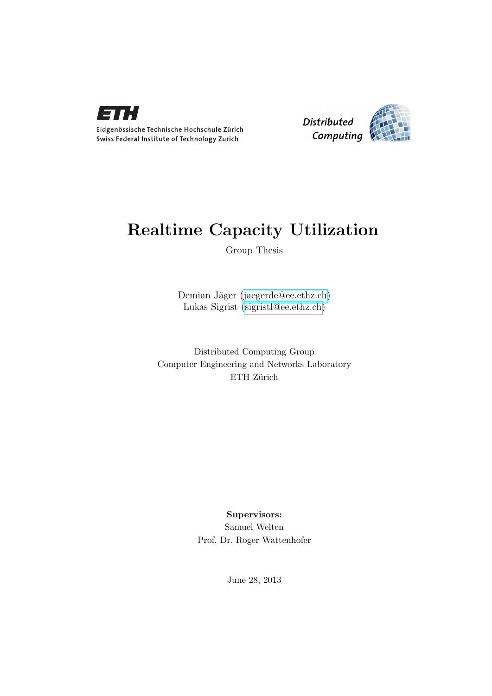

Eidgenössische Technische Hochschule Zürich Swiss Federal Institute of Technology Zurich



## Realtime Capacity Utilization

Group Thesis

Demian Jäger [\(jaegerde@ee.ethz.ch\)](mailto:jaegerde@ee.ethz.ch) Lukas Sigrist [\(sigristl@ee.ethz.ch\)](mailto:sigristl@ee.ethz.ch)

Distributed Computing Group Computer Engineering and Networks Laboratory ETH Zürich

> Supervisors: Samuel Welten Prof. Dr. Roger Wattenhofer

> > June 28, 2013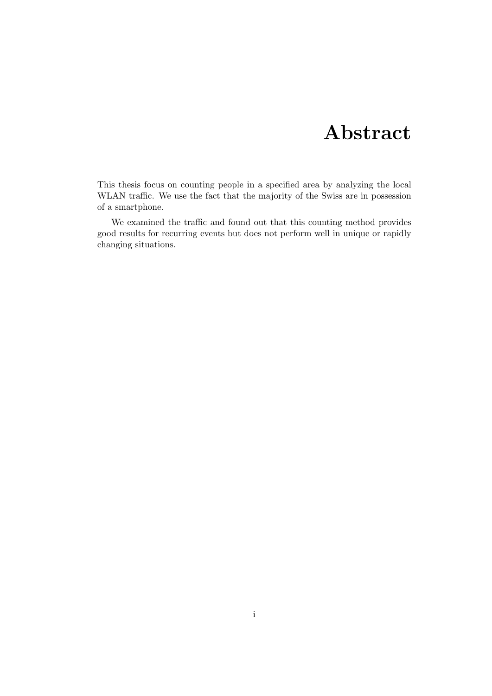# Abstract

<span id="page-1-0"></span>This thesis focus on counting people in a specified area by analyzing the local WLAN traffic. We use the fact that the majority of the Swiss are in possession of a smartphone.

We examined the traffic and found out that this counting method provides good results for recurring events but does not perform well in unique or rapidly changing situations.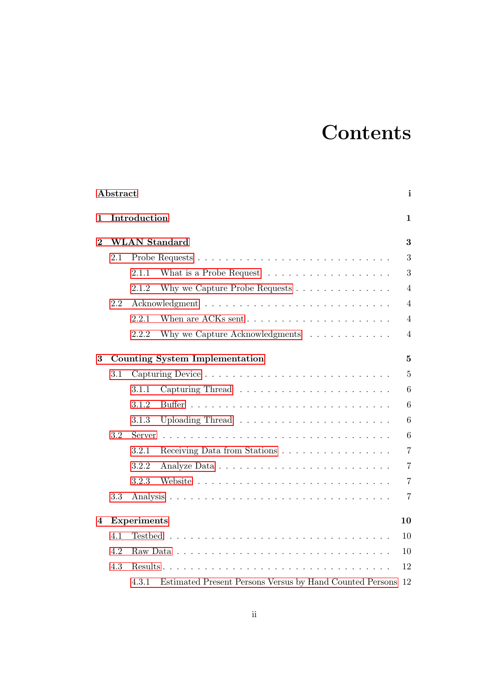# **Contents**

|          | Abstract             |                                                                                |                |  |  |
|----------|----------------------|--------------------------------------------------------------------------------|----------------|--|--|
| 1        |                      | Introduction                                                                   |                |  |  |
| $\bf{2}$ | <b>WLAN</b> Standard |                                                                                |                |  |  |
|          | 2.1                  |                                                                                | 3              |  |  |
|          |                      | What is a Probe Request $\dots \dots \dots \dots \dots \dots$<br>2.1.1         | 3              |  |  |
|          |                      | 2.1.2<br>Why we Capture Probe Requests $\dots \dots \dots \dots \dots$         | $\overline{4}$ |  |  |
|          | 2.2                  |                                                                                |                |  |  |
|          |                      | 2.2.1<br>When are ACKs sent $\ldots \ldots \ldots \ldots \ldots \ldots \ldots$ | $\overline{4}$ |  |  |
|          |                      | 2.2.2<br>Why we Capture Acknowledgments $\ldots \ldots \ldots \ldots$          | $\overline{4}$ |  |  |
| 3        |                      | Counting System Implementation<br>5                                            |                |  |  |
|          | 3.1                  |                                                                                | 5              |  |  |
|          |                      | 3.1.1                                                                          | 6              |  |  |
|          |                      | 3.1.2                                                                          | 6              |  |  |
|          |                      | 3.1.3                                                                          | 6              |  |  |
|          | 3.2                  | Server                                                                         |                |  |  |
|          |                      | 3.2.1<br>Receiving Data from Stations $\dots \dots \dots \dots \dots \dots$    | $\overline{7}$ |  |  |
|          |                      | 3.2.2                                                                          | $\overline{7}$ |  |  |
|          |                      | 3.2.3                                                                          | $\overline{7}$ |  |  |
|          | 3.3                  |                                                                                | $\overline{7}$ |  |  |
| 4        |                      | <b>Experiments</b>                                                             | 10             |  |  |
|          | 4.1                  |                                                                                | 10             |  |  |
|          | 4.2                  |                                                                                | 10             |  |  |
|          | 4.3                  | Results                                                                        | 12             |  |  |
|          |                      | Estimated Present Persons Versus by Hand Counted Persons<br>4.3.1              | 12             |  |  |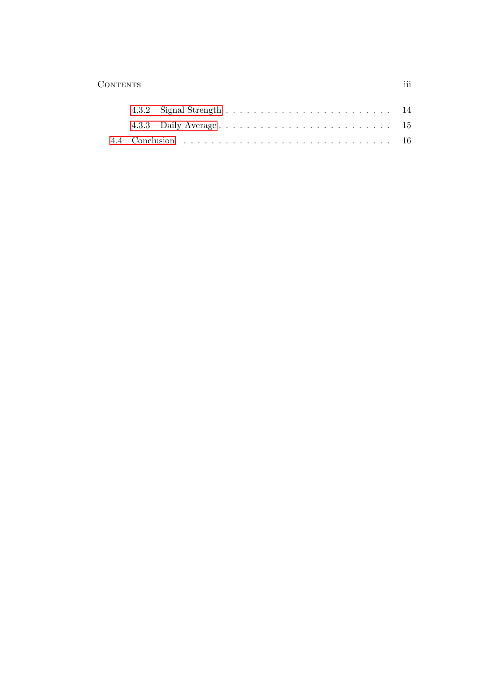#### Contents iii

|  | 4.3.3 Daily Average 15 |  |
|--|------------------------|--|
|  |                        |  |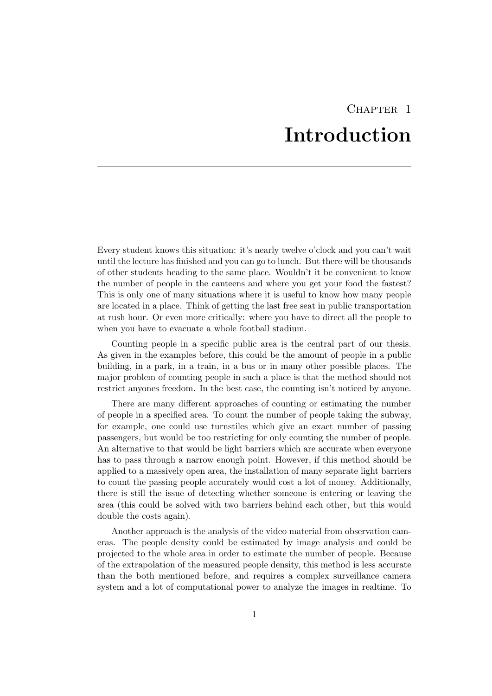# CHAPTER<sub>1</sub> Introduction

<span id="page-4-0"></span>Every student knows this situation: it's nearly twelve o'clock and you can't wait until the lecture has finished and you can go to lunch. But there will be thousands of other students heading to the same place. Wouldn't it be convenient to know the number of people in the canteens and where you get your food the fastest? This is only one of many situations where it is useful to know how many people are located in a place. Think of getting the last free seat in public transportation at rush hour. Or even more critically: where you have to direct all the people to when you have to evacuate a whole football stadium.

Counting people in a specific public area is the central part of our thesis. As given in the examples before, this could be the amount of people in a public building, in a park, in a train, in a bus or in many other possible places. The major problem of counting people in such a place is that the method should not restrict anyones freedom. In the best case, the counting isn't noticed by anyone.

There are many different approaches of counting or estimating the number of people in a specified area. To count the number of people taking the subway, for example, one could use turnstiles which give an exact number of passing passengers, but would be too restricting for only counting the number of people. An alternative to that would be light barriers which are accurate when everyone has to pass through a narrow enough point. However, if this method should be applied to a massively open area, the installation of many separate light barriers to count the passing people accurately would cost a lot of money. Additionally, there is still the issue of detecting whether someone is entering or leaving the area (this could be solved with two barriers behind each other, but this would double the costs again).

Another approach is the analysis of the video material from observation cameras. The people density could be estimated by image analysis and could be projected to the whole area in order to estimate the number of people. Because of the extrapolation of the measured people density, this method is less accurate than the both mentioned before, and requires a complex surveillance camera system and a lot of computational power to analyze the images in realtime. To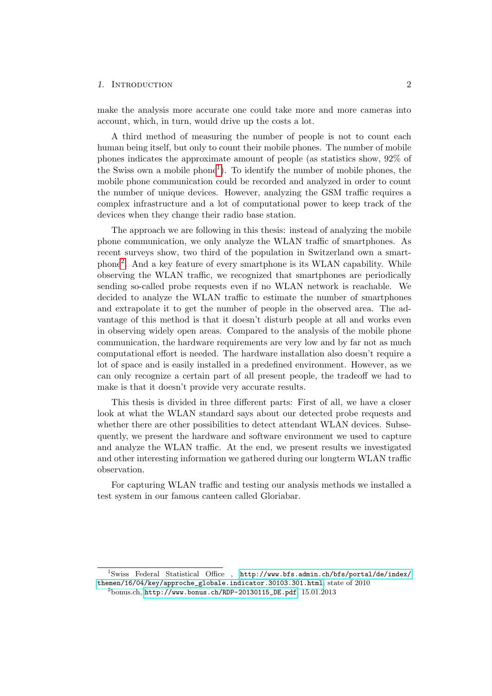#### 1. INTRODUCTION 2

make the analysis more accurate one could take more and more cameras into account, which, in turn, would drive up the costs a lot.

A third method of measuring the number of people is not to count each human being itself, but only to count their mobile phones. The number of mobile phones indicates the approximate amount of people (as statistics show, 92% of the Swiss own a mobile phone<sup>[1](#page-5-0)</sup>). To identify the number of mobile phones, the mobile phone communication could be recorded and analyzed in order to count the number of unique devices. However, analyzing the GSM traffic requires a complex infrastructure and a lot of computational power to keep track of the devices when they change their radio base station.

The approach we are following in this thesis: instead of analyzing the mobile phone communication, we only analyze the WLAN traffic of smartphones. As recent surveys show, two third of the population in Switzerland own a smartphone[2](#page-5-1) . And a key feature of every smartphone is its WLAN capability. While observing the WLAN traffic, we recognized that smartphones are periodically sending so-called probe requests even if no WLAN network is reachable. We decided to analyze the WLAN traffic to estimate the number of smartphones and extrapolate it to get the number of people in the observed area. The advantage of this method is that it doesn't disturb people at all and works even in observing widely open areas. Compared to the analysis of the mobile phone communication, the hardware requirements are very low and by far not as much computational effort is needed. The hardware installation also doesn't require a lot of space and is easily installed in a predefined environment. However, as we can only recognize a certain part of all present people, the tradeoff we had to make is that it doesn't provide very accurate results.

This thesis is divided in three different parts: First of all, we have a closer look at what the WLAN standard says about our detected probe requests and whether there are other possibilities to detect attendant WLAN devices. Subsequently, we present the hardware and software environment we used to capture and analyze the WLAN traffic. At the end, we present results we investigated and other interesting information we gathered during our longterm WLAN traffic observation.

For capturing WLAN traffic and testing our analysis methods we installed a test system in our famous canteen called Gloriabar.

<span id="page-5-0"></span><sup>&</sup>lt;sup>1</sup>Swiss Federal Statistical Office , [http://www.bfs.admin.ch/bfs/portal/de/index/](http://www.bfs.admin.ch/bfs/portal/de/index/themen/16/04/key/approche_globale.indicator.30103.301.html) [themen/16/04/key/approche\\_globale.indicator.30103.301.html](http://www.bfs.admin.ch/bfs/portal/de/index/themen/16/04/key/approche_globale.indicator.30103.301.html), state of 2010

<span id="page-5-1"></span> $^{2}$ bonus.ch, [http://www.bonus.ch/RDP-20130115\\_DE.pdf](http://www.bonus.ch/RDP-20130115_DE.pdf), 15.01.2013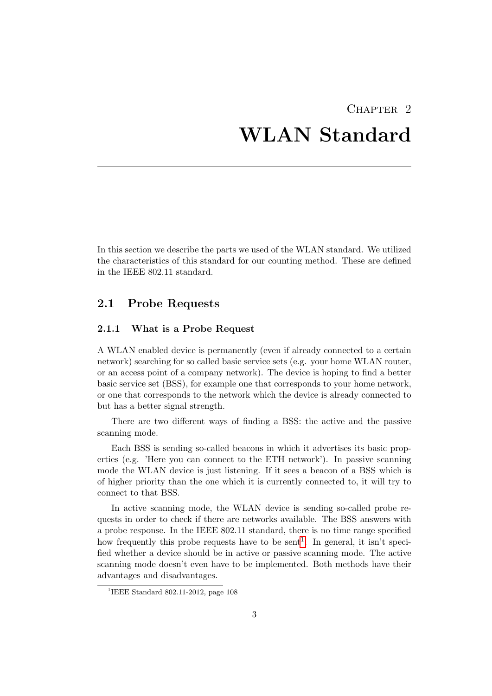# <span id="page-6-0"></span> $CHAPTER$  2 WLAN Standard

In this section we describe the parts we used of the WLAN standard. We utilized the characteristics of this standard for our counting method. These are defined in the IEEE 802.11 standard.

## <span id="page-6-1"></span>2.1 Probe Requests

#### <span id="page-6-2"></span>2.1.1 What is a Probe Request

A WLAN enabled device is permanently (even if already connected to a certain network) searching for so called basic service sets (e.g. your home WLAN router, or an access point of a company network). The device is hoping to find a better basic service set (BSS), for example one that corresponds to your home network, or one that corresponds to the network which the device is already connected to but has a better signal strength.

There are two different ways of finding a BSS: the active and the passive scanning mode.

Each BSS is sending so-called beacons in which it advertises its basic properties (e.g. 'Here you can connect to the ETH network'). In passive scanning mode the WLAN device is just listening. If it sees a beacon of a BSS which is of higher priority than the one which it is currently connected to, it will try to connect to that BSS.

In active scanning mode, the WLAN device is sending so-called probe requests in order to check if there are networks available. The BSS answers with a probe response. In the IEEE 802.11 standard, there is no time range specified how frequently this probe requests have to be sent<sup>[1](#page-6-3)</sup>. In general, it isn't specified whether a device should be in active or passive scanning mode. The active scanning mode doesn't even have to be implemented. Both methods have their advantages and disadvantages.

<span id="page-6-3"></span><sup>&</sup>lt;sup>1</sup>IEEE Standard 802.11-2012, page 108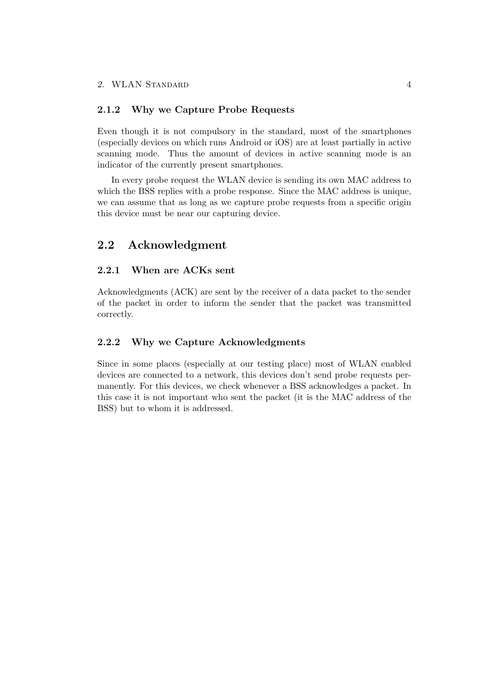#### <span id="page-7-0"></span>2.1.2 Why we Capture Probe Requests

Even though it is not compulsory in the standard, most of the smartphones (especially devices on which runs Android or iOS) are at least partially in active scanning mode. Thus the amount of devices in active scanning mode is an indicator of the currently present smartphones.

In every probe request the WLAN device is sending its own MAC address to which the BSS replies with a probe response. Since the MAC address is unique, we can assume that as long as we capture probe requests from a specific origin this device must be near our capturing device.

## <span id="page-7-1"></span>2.2 Acknowledgment

#### <span id="page-7-2"></span>2.2.1 When are ACKs sent

Acknowledgments (ACK) are sent by the receiver of a data packet to the sender of the packet in order to inform the sender that the packet was transmitted correctly.

#### <span id="page-7-3"></span>2.2.2 Why we Capture Acknowledgments

Since in some places (especially at our testing place) most of WLAN enabled devices are connected to a network, this devices don't send probe requests permanently. For this devices, we check whenever a BSS acknowledges a packet. In this case it is not important who sent the packet (it is the MAC address of the BSS) but to whom it is addressed.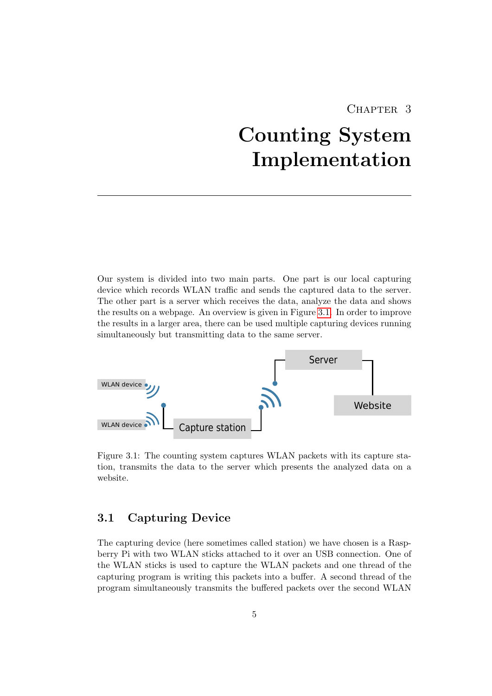## CHAPTER<sub>3</sub>

# <span id="page-8-0"></span>Counting System Implementation

Our system is divided into two main parts. One part is our local capturing device which records WLAN traffic and sends the captured data to the server. The other part is a server which receives the data, analyze the data and shows the results on a webpage. An overview is given in Figure [3.1.](#page-8-2) In order to improve the results in a larger area, there can be used multiple capturing devices running simultaneously but transmitting data to the same server.



<span id="page-8-2"></span>Figure 3.1: The counting system captures WLAN packets with its capture station, transmits the data to the server which presents the analyzed data on a website.

## <span id="page-8-1"></span>3.1 Capturing Device

The capturing device (here sometimes called station) we have chosen is a Raspberry Pi with two WLAN sticks attached to it over an USB connection. One of the WLAN sticks is used to capture the WLAN packets and one thread of the capturing program is writing this packets into a buffer. A second thread of the program simultaneously transmits the buffered packets over the second WLAN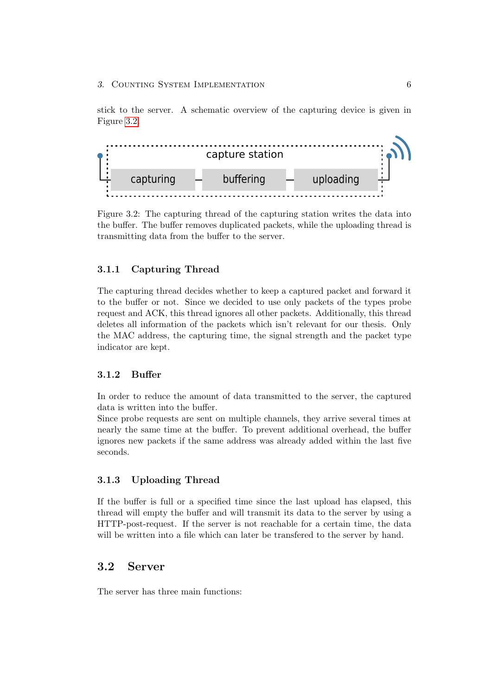stick to the server. A schematic overview of the capturing device is given in Figure [3.2.](#page-9-4)



<span id="page-9-4"></span>Figure 3.2: The capturing thread of the capturing station writes the data into the buffer. The buffer removes duplicated packets, while the uploading thread is transmitting data from the buffer to the server.

#### <span id="page-9-0"></span>3.1.1 Capturing Thread

The capturing thread decides whether to keep a captured packet and forward it to the buffer or not. Since we decided to use only packets of the types probe request and ACK, this thread ignores all other packets. Additionally, this thread deletes all information of the packets which isn't relevant for our thesis. Only the MAC address, the capturing time, the signal strength and the packet type indicator are kept.

#### <span id="page-9-1"></span>3.1.2 Buffer

In order to reduce the amount of data transmitted to the server, the captured data is written into the buffer.

Since probe requests are sent on multiple channels, they arrive several times at nearly the same time at the buffer. To prevent additional overhead, the buffer ignores new packets if the same address was already added within the last five seconds.

#### <span id="page-9-2"></span>3.1.3 Uploading Thread

If the buffer is full or a specified time since the last upload has elapsed, this thread will empty the buffer and will transmit its data to the server by using a HTTP-post-request. If the server is not reachable for a certain time, the data will be written into a file which can later be transfered to the server by hand.

## <span id="page-9-3"></span>3.2 Server

The server has three main functions: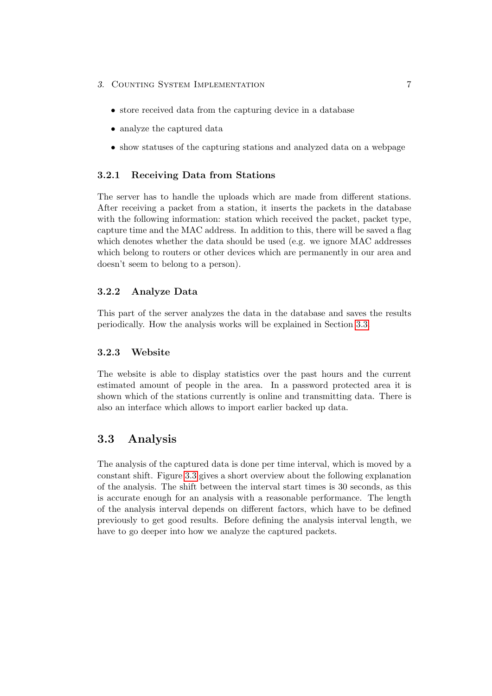- 3. COUNTING SYSTEM IMPLEMENTATION 7
	- store received data from the capturing device in a database
	- analyze the captured data
	- show statuses of the capturing stations and analyzed data on a webpage

#### <span id="page-10-0"></span>3.2.1 Receiving Data from Stations

The server has to handle the uploads which are made from different stations. After receiving a packet from a station, it inserts the packets in the database with the following information: station which received the packet, packet type, capture time and the MAC address. In addition to this, there will be saved a flag which denotes whether the data should be used (e.g. we ignore MAC addresses which belong to routers or other devices which are permanently in our area and doesn't seem to belong to a person).

#### <span id="page-10-1"></span>3.2.2 Analyze Data

This part of the server analyzes the data in the database and saves the results periodically. How the analysis works will be explained in Section [3.3.](#page-10-3)

#### <span id="page-10-2"></span>3.2.3 Website

The website is able to display statistics over the past hours and the current estimated amount of people in the area. In a password protected area it is shown which of the stations currently is online and transmitting data. There is also an interface which allows to import earlier backed up data.

## <span id="page-10-3"></span>3.3 Analysis

The analysis of the captured data is done per time interval, which is moved by a constant shift. Figure [3.3](#page-11-0) gives a short overview about the following explanation of the analysis. The shift between the interval start times is 30 seconds, as this is accurate enough for an analysis with a reasonable performance. The length of the analysis interval depends on different factors, which have to be defined previously to get good results. Before defining the analysis interval length, we have to go deeper into how we analyze the captured packets.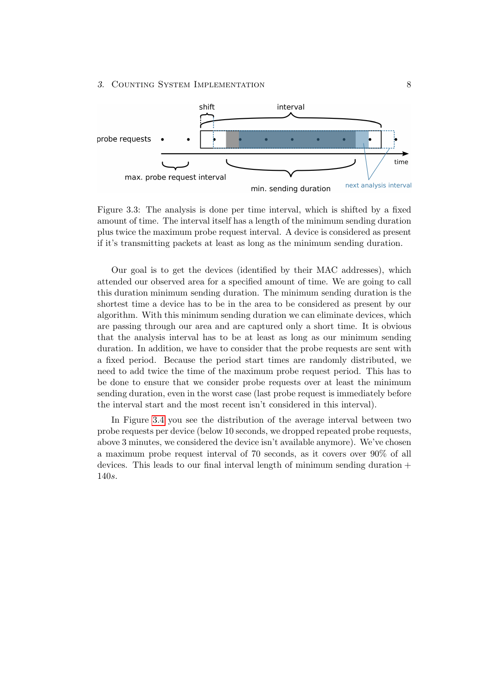#### 3. COUNTING SYSTEM IMPLEMENTATION 8



<span id="page-11-0"></span>Figure 3.3: The analysis is done per time interval, which is shifted by a fixed amount of time. The interval itself has a length of the minimum sending duration plus twice the maximum probe request interval. A device is considered as present if it's transmitting packets at least as long as the minimum sending duration.

Our goal is to get the devices (identified by their MAC addresses), which attended our observed area for a specified amount of time. We are going to call this duration minimum sending duration. The minimum sending duration is the shortest time a device has to be in the area to be considered as present by our algorithm. With this minimum sending duration we can eliminate devices, which are passing through our area and are captured only a short time. It is obvious that the analysis interval has to be at least as long as our minimum sending duration. In addition, we have to consider that the probe requests are sent with a fixed period. Because the period start times are randomly distributed, we need to add twice the time of the maximum probe request period. This has to be done to ensure that we consider probe requests over at least the minimum sending duration, even in the worst case (last probe request is immediately before the interval start and the most recent isn't considered in this interval).

In Figure [3.4](#page-12-0) you see the distribution of the average interval between two probe requests per device (below 10 seconds, we dropped repeated probe requests, above 3 minutes, we considered the device isn't available anymore). We've chosen a maximum probe request interval of 70 seconds, as it covers over 90% of all devices. This leads to our final interval length of minimum sending duration + 140s.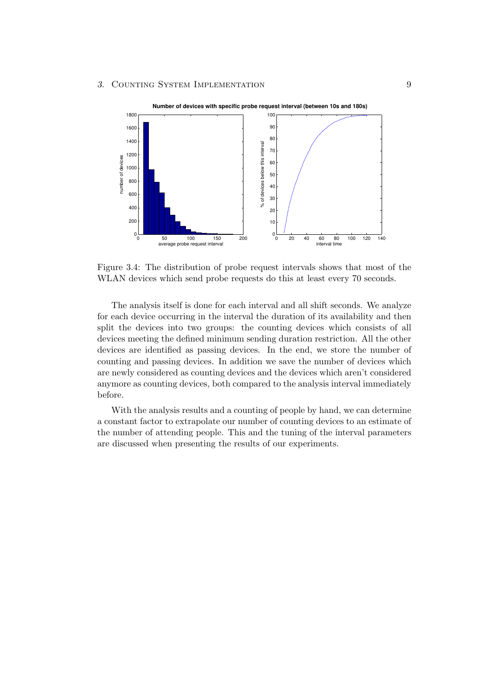

<span id="page-12-0"></span>Figure 3.4: The distribution of probe request intervals shows that most of the WLAN devices which send probe requests do this at least every 70 seconds.

The analysis itself is done for each interval and all shift seconds. We analyze for each device occurring in the interval the duration of its availability and then split the devices into two groups: the counting devices which consists of all devices meeting the defined minimum sending duration restriction. All the other devices are identified as passing devices. In the end, we store the number of counting and passing devices. In addition we save the number of devices which are newly considered as counting devices and the devices which aren't considered anymore as counting devices, both compared to the analysis interval immediately before.

With the analysis results and a counting of people by hand, we can determine a constant factor to extrapolate our number of counting devices to an estimate of the number of attending people. This and the tuning of the interval parameters are discussed when presenting the results of our experiments.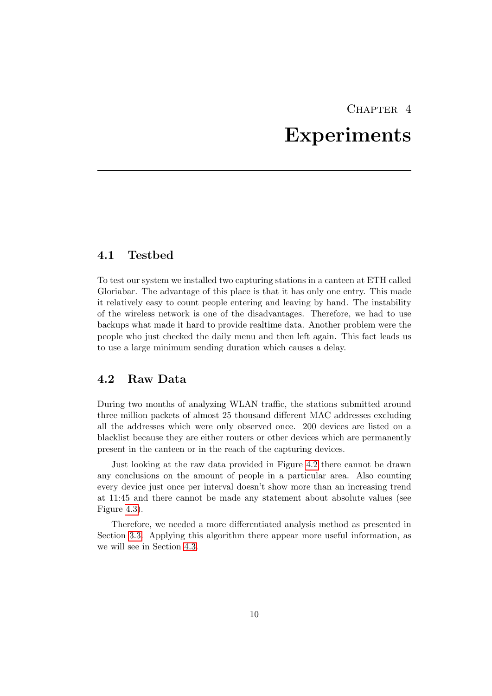# CHAPTER<sub>4</sub>

## Experiments

### <span id="page-13-1"></span><span id="page-13-0"></span>4.1 Testbed

To test our system we installed two capturing stations in a canteen at ETH called Gloriabar. The advantage of this place is that it has only one entry. This made it relatively easy to count people entering and leaving by hand. The instability of the wireless network is one of the disadvantages. Therefore, we had to use backups what made it hard to provide realtime data. Another problem were the people who just checked the daily menu and then left again. This fact leads us to use a large minimum sending duration which causes a delay.

## <span id="page-13-2"></span>4.2 Raw Data

During two months of analyzing WLAN traffic, the stations submitted around three million packets of almost 25 thousand different MAC addresses excluding all the addresses which were only observed once. 200 devices are listed on a blacklist because they are either routers or other devices which are permanently present in the canteen or in the reach of the capturing devices.

Just looking at the raw data provided in Figure [4.2](#page-14-0) there cannot be drawn any conclusions on the amount of people in a particular area. Also counting every device just once per interval doesn't show more than an increasing trend at 11:45 and there cannot be made any statement about absolute values (see Figure [4.3\)](#page-15-2).

Therefore, we needed a more differentiated analysis method as presented in Section [3.3.](#page-10-3) Applying this algorithm there appear more useful information, as we will see in Section [4.3.](#page-15-0)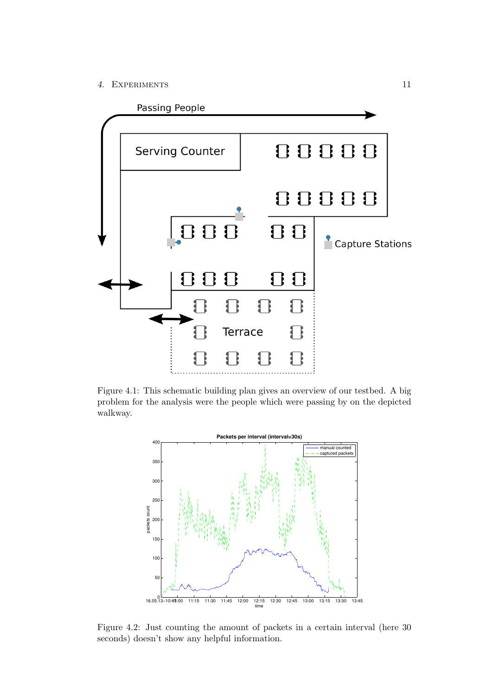4. Experiments 11



Figure 4.1: This schematic building plan gives an overview of our testbed. A big problem for the analysis were the people which were passing by on the depicted walkway.



<span id="page-14-0"></span>Figure 4.2: Just counting the amount of packets in a certain interval (here 30 seconds) doesn't show any helpful information.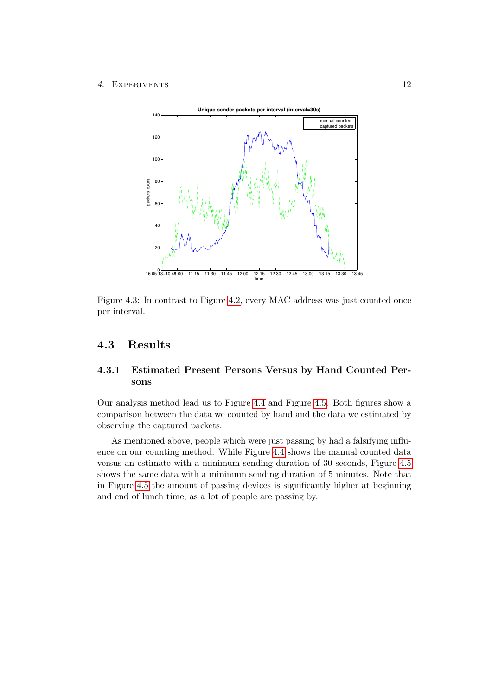#### 4. Experiments 12



<span id="page-15-2"></span>Figure 4.3: In contrast to Figure [4.2,](#page-14-0) every MAC address was just counted once per interval.

## <span id="page-15-0"></span>4.3 Results

## <span id="page-15-1"></span>4.3.1 Estimated Present Persons Versus by Hand Counted Persons

Our analysis method lead us to Figure [4.4](#page-16-0) and Figure [4.5.](#page-16-1) Both figures show a comparison between the data we counted by hand and the data we estimated by observing the captured packets.

As mentioned above, people which were just passing by had a falsifying influence on our counting method. While Figure [4.4](#page-16-0) shows the manual counted data versus an estimate with a minimum sending duration of 30 seconds, Figure [4.5](#page-16-1) shows the same data with a minimum sending duration of 5 minutes. Note that in Figure [4.5](#page-16-1) the amount of passing devices is significantly higher at beginning and end of lunch time, as a lot of people are passing by.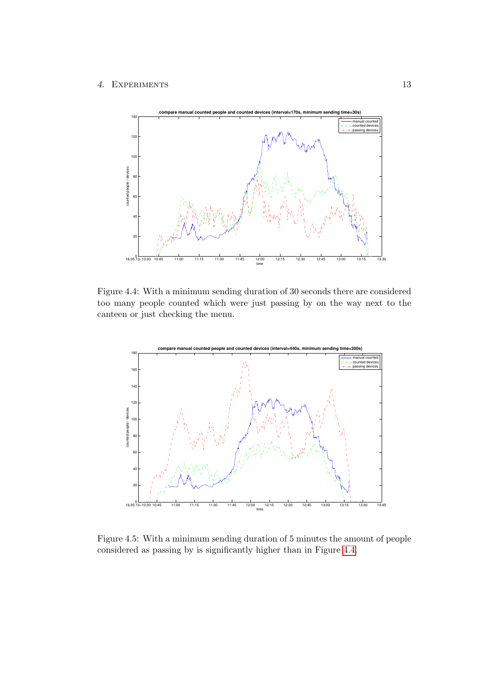#### 4. Experiments 13



<span id="page-16-0"></span>Figure 4.4: With a minimum sending duration of 30 seconds there are considered too many people counted which were just passing by on the way next to the canteen or just checking the menu.



<span id="page-16-1"></span>Figure 4.5: With a minimum sending duration of 5 minutes the amount of people considered as passing by is significantly higher than in Figure [4.4.](#page-16-0)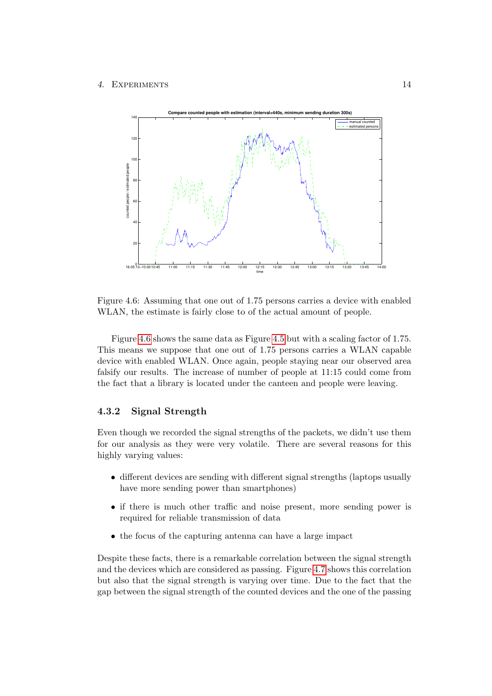

<span id="page-17-1"></span>Figure 4.6: Assuming that one out of 1.75 persons carries a device with enabled WLAN, the estimate is fairly close to of the actual amount of people.

Figure [4.6](#page-17-1) shows the same data as Figure [4.5](#page-16-1) but with a scaling factor of 1.75. This means we suppose that one out of 1.75 persons carries a WLAN capable device with enabled WLAN. Once again, people staying near our observed area falsify our results. The increase of number of people at 11:15 could come from the fact that a library is located under the canteen and people were leaving.

#### <span id="page-17-0"></span>4.3.2 Signal Strength

Even though we recorded the signal strengths of the packets, we didn't use them for our analysis as they were very volatile. There are several reasons for this highly varying values:

- different devices are sending with different signal strengths (laptops usually have more sending power than smartphones)
- if there is much other traffic and noise present, more sending power is required for reliable transmission of data
- the focus of the capturing antenna can have a large impact

Despite these facts, there is a remarkable correlation between the signal strength and the devices which are considered as passing. Figure [4.7](#page-18-1) shows this correlation but also that the signal strength is varying over time. Due to the fact that the gap between the signal strength of the counted devices and the one of the passing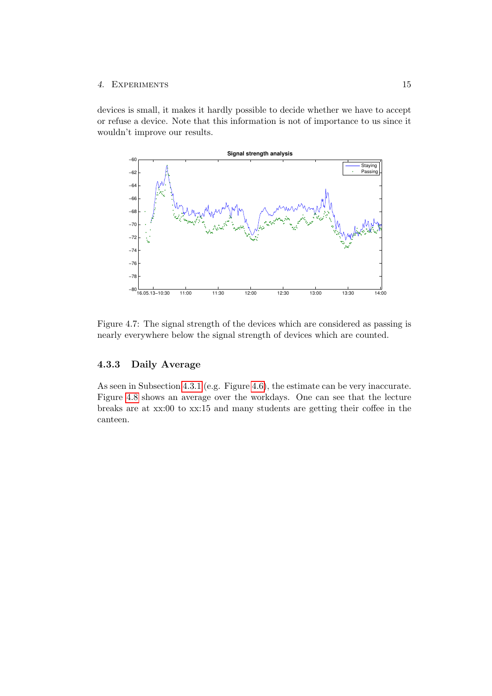#### 4. EXPERIMENTS 15

devices is small, it makes it hardly possible to decide whether we have to accept or refuse a device. Note that this information is not of importance to us since it wouldn't improve our results.



<span id="page-18-1"></span>Figure 4.7: The signal strength of the devices which are considered as passing is nearly everywhere below the signal strength of devices which are counted.

#### <span id="page-18-0"></span>4.3.3 Daily Average

As seen in Subsection [4.3.1](#page-15-1) (e.g. Figure [4.6\)](#page-17-1), the estimate can be very inaccurate. Figure [4.8](#page-19-1) shows an average over the workdays. One can see that the lecture breaks are at xx:00 to xx:15 and many students are getting their coffee in the canteen.